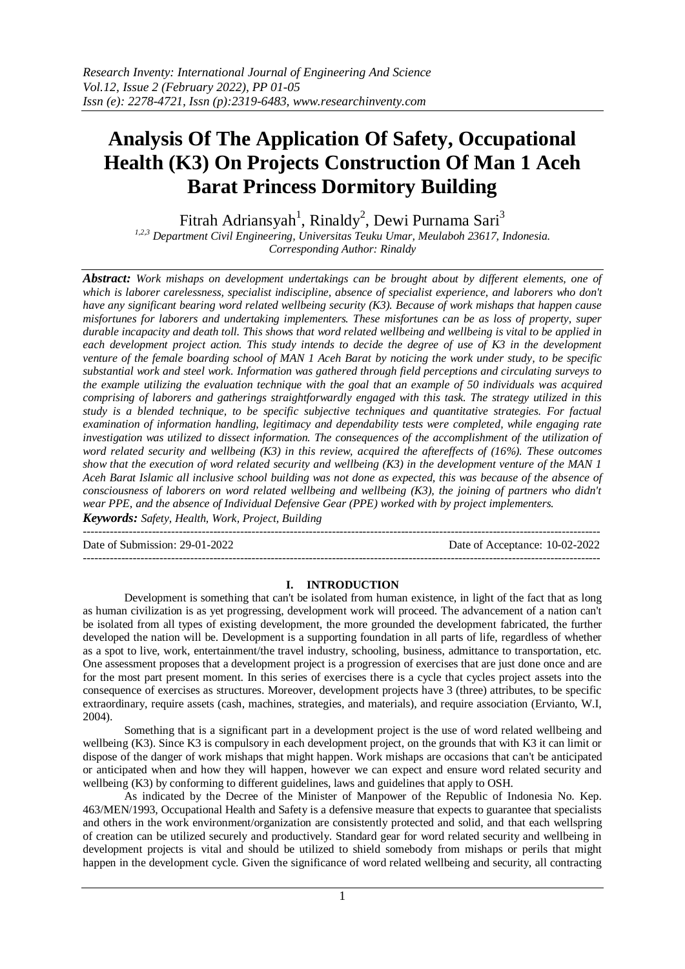# **Analysis Of The Application Of Safety, Occupational Health (K3) On Projects Construction Of Man 1 Aceh Barat Princess Dormitory Building**

Fitrah Adriansyah<sup>1</sup>, Rinaldy<sup>2</sup>, Dewi Purnama Sari<sup>3</sup>

*1,2,3 Department Civil Engineering, Universitas Teuku Umar, Meulaboh 23617, Indonesia. Corresponding Author: Rinaldy*

*Abstract: Work mishaps on development undertakings can be brought about by different elements, one of which is laborer carelessness, specialist indiscipline, absence of specialist experience, and laborers who don't have any significant bearing word related wellbeing security (K3). Because of work mishaps that happen cause misfortunes for laborers and undertaking implementers. These misfortunes can be as loss of property, super durable incapacity and death toll. This shows that word related wellbeing and wellbeing is vital to be applied in*  each development project action. This study intends to decide the degree of use of K3 in the development *venture of the female boarding school of MAN 1 Aceh Barat by noticing the work under study, to be specific substantial work and steel work. Information was gathered through field perceptions and circulating surveys to the example utilizing the evaluation technique with the goal that an example of 50 individuals was acquired comprising of laborers and gatherings straightforwardly engaged with this task. The strategy utilized in this study is a blended technique, to be specific subjective techniques and quantitative strategies. For factual examination of information handling, legitimacy and dependability tests were completed, while engaging rate investigation was utilized to dissect information. The consequences of the accomplishment of the utilization of word related security and wellbeing (K3) in this review, acquired the aftereffects of (16%). These outcomes show that the execution of word related security and wellbeing (K3) in the development venture of the MAN 1*  Aceh Barat Islamic all inclusive school building was not done as expected, this was because of the absence of *consciousness of laborers on word related wellbeing and wellbeing (K3), the joining of partners who didn't wear PPE, and the absence of Individual Defensive Gear (PPE) worked with by project implementers. Keywords: Safety, Health, Work, Project, Building*

--------------------------------------------------------------------------------------------------------------------------------------- Date of Submission: 29-01-2022 Date of Acceptance: 10-02-2022 ---------------------------------------------------------------------------------------------------------------------------------------

## **I. INTRODUCTION**

Development is something that can't be isolated from human existence, in light of the fact that as long as human civilization is as yet progressing, development work will proceed. The advancement of a nation can't be isolated from all types of existing development, the more grounded the development fabricated, the further developed the nation will be. Development is a supporting foundation in all parts of life, regardless of whether as a spot to live, work, entertainment/the travel industry, schooling, business, admittance to transportation, etc. One assessment proposes that a development project is a progression of exercises that are just done once and are for the most part present moment. In this series of exercises there is a cycle that cycles project assets into the consequence of exercises as structures. Moreover, development projects have 3 (three) attributes, to be specific extraordinary, require assets (cash, machines, strategies, and materials), and require association (Ervianto, W.I, 2004).

Something that is a significant part in a development project is the use of word related wellbeing and wellbeing (K3). Since K3 is compulsory in each development project, on the grounds that with K3 it can limit or dispose of the danger of work mishaps that might happen. Work mishaps are occasions that can't be anticipated or anticipated when and how they will happen, however we can expect and ensure word related security and wellbeing (K3) by conforming to different guidelines, laws and guidelines that apply to OSH.

As indicated by the Decree of the Minister of Manpower of the Republic of Indonesia No. Kep. 463/MEN/1993, Occupational Health and Safety is a defensive measure that expects to guarantee that specialists and others in the work environment/organization are consistently protected and solid, and that each wellspring of creation can be utilized securely and productively. Standard gear for word related security and wellbeing in development projects is vital and should be utilized to shield somebody from mishaps or perils that might happen in the development cycle. Given the significance of word related wellbeing and security, all contracting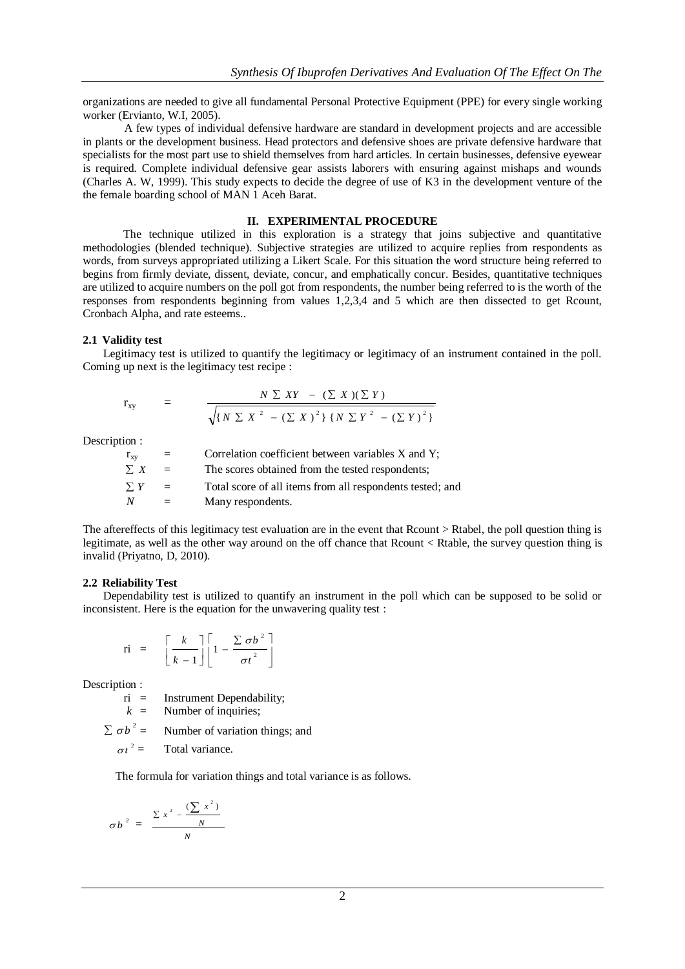organizations are needed to give all fundamental Personal Protective Equipment (PPE) for every single working worker (Ervianto, W.I, 2005).

A few types of individual defensive hardware are standard in development projects and are accessible in plants or the development business. Head protectors and defensive shoes are private defensive hardware that specialists for the most part use to shield themselves from hard articles. In certain businesses, defensive eyewear is required. Complete individual defensive gear assists laborers with ensuring against mishaps and wounds (Charles A. W, 1999). This study expects to decide the degree of use of K3 in the development venture of the the female boarding school of MAN 1 Aceh Barat.

# **II. EXPERIMENTAL PROCEDURE**

The technique utilized in this exploration is a strategy that joins subjective and quantitative methodologies (blended technique). Subjective strategies are utilized to acquire replies from respondents as words, from surveys appropriated utilizing a Likert Scale. For this situation the word structure being referred to begins from firmly deviate, dissent, deviate, concur, and emphatically concur. Besides, quantitative techniques are utilized to acquire numbers on the poll got from respondents, the number being referred to is the worth of the responses from respondents beginning from values 1,2,3,4 and 5 which are then dissected to get Rcount, Cronbach Alpha, and rate esteems..

## **2.1 Validity test**

Legitimacy test is utilized to quantify the legitimacy or legitimacy of an instrument contained in the poll. Coming up next is the legitimacy test recipe :

$$
\mathbf{r}_{xy} = \frac{N \sum XY - (\sum X)(\sum Y)}{\sqrt{\{N \sum X^2 - (\sum X)^2\} \{N \sum Y^2 - (\sum Y)^2\}}}
$$

Description :

| $r_{\rm xy}$ | $=$ | Correlation coefficient between variables X and Y;        |
|--------------|-----|-----------------------------------------------------------|
| $\Sigma$ X   | $=$ | The scores obtained from the tested respondents;          |
| $\sum~Y$     | $=$ | Total score of all items from all respondents tested; and |
| N            | $=$ | Many respondents.                                         |

The aftereffects of this legitimacy test evaluation are in the event that Rcount > Rtabel, the poll question thing is legitimate, as well as the other way around on the off chance that Rcount < Rtable, the survey question thing is invalid (Priyatno, D, 2010).

#### **2.2 Reliability Test**

Dependability test is utilized to quantify an instrument in the poll which can be supposed to be solid or inconsistent. Here is the equation for the unwavering quality test :

$$
\text{ri} = \begin{bmatrix} k \\ k-1 \end{bmatrix} \begin{bmatrix} 1 - \frac{\sum \sigma b^2}{\sigma t^2} \end{bmatrix}
$$

Description :<br> $\vec{r}$  =

Instrument Dependability;

 $k =$  Number of inquiries;

 $\Sigma \sigma b^2 =$ Number of variation things; and

 $\sigma t^2 =$ Total variance.

The formula for variation things and total variance is as follows.

$$
\sigma b^2 = \frac{\sum x^2 - \frac{(\sum x^2)}{N}}{N}
$$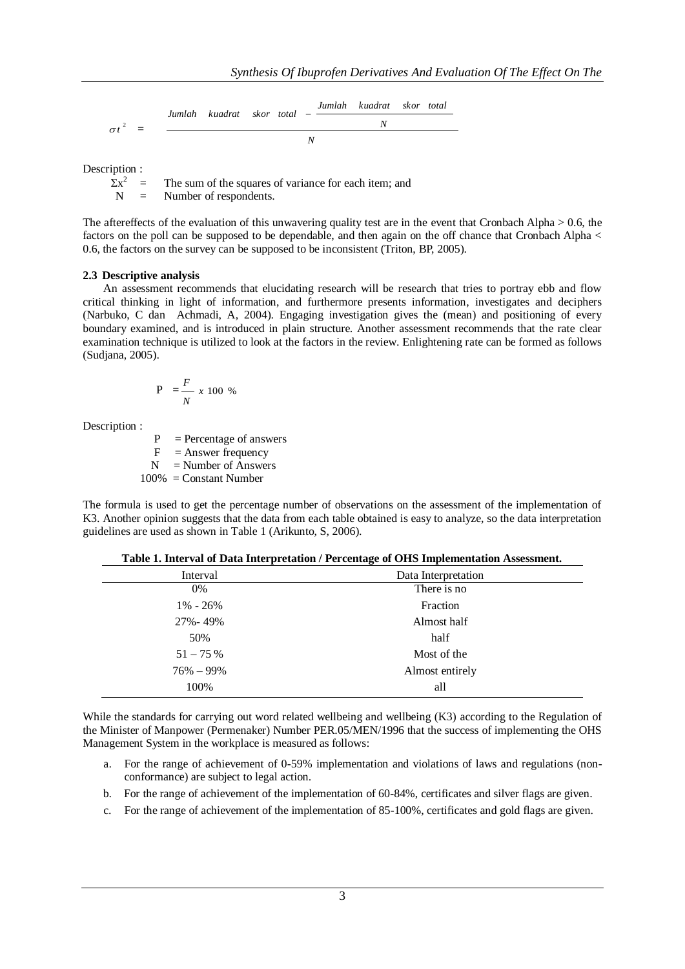| Jumlah       | kuadrat | skor | total | – | Jumlah | kuadrat | skor | total |
|--------------|---------|------|-------|---|--------|---------|------|-------|
| $\sigma t^2$ | =       | $N$  | $N$   |   |        |         |      |       |

Description :

 $\Sigma x^2$ The sum of the squares of variance for each item; and

 $N =$  Number of respondents.

The aftereffects of the evaluation of this unwavering quality test are in the event that Cronbach Alpha  $> 0.6$ , the factors on the poll can be supposed to be dependable, and then again on the off chance that Cronbach Alpha < 0.6, the factors on the survey can be supposed to be inconsistent (Triton, BP, 2005).

#### **2.3 Descriptive analysis**

An assessment recommends that elucidating research will be research that tries to portray ebb and flow critical thinking in light of information, and furthermore presents information, investigates and deciphers (Narbuko, C dan Achmadi, A, 2004). Engaging investigation gives the (mean) and positioning of every boundary examined, and is introduced in plain structure. Another assessment recommends that the rate clear examination technique is utilized to look at the factors in the review. Enlightening rate can be formed as follows (Sudjana, 2005).

$$
P = \frac{F}{N} \times 100 \%
$$

Description :

 $P =$  Percentage of answers  $F =$  Answer frequency  $N =$  Number of Answers  $100\% =$  Constant Number

The formula is used to get the percentage number of observations on the assessment of the implementation of K3. Another opinion suggests that the data from each table obtained is easy to analyze, so the data interpretation guidelines are used as shown in Table 1 (Arikunto, S, 2006).

| Interval      | Data Interpretation |
|---------------|---------------------|
| 0%            | There is no         |
| $1\% - 26\%$  | Fraction            |
| 27%-49%       | Almost half         |
| 50%           | half                |
| $51 - 75%$    | Most of the         |
| $76\% - 99\%$ | Almost entirely     |
| 100%          | all                 |

**Table 1. Interval of Data Interpretation / Percentage of OHS Implementation Assessment.**

While the standards for carrying out word related wellbeing and wellbeing (K3) according to the Regulation of the Minister of Manpower (Permenaker) Number PER.05/MEN/1996 that the success of implementing the OHS Management System in the workplace is measured as follows:

- a. For the range of achievement of 0-59% implementation and violations of laws and regulations (nonconformance) are subject to legal action.
- b. For the range of achievement of the implementation of 60-84%, certificates and silver flags are given.
- c. For the range of achievement of the implementation of 85-100%, certificates and gold flags are given.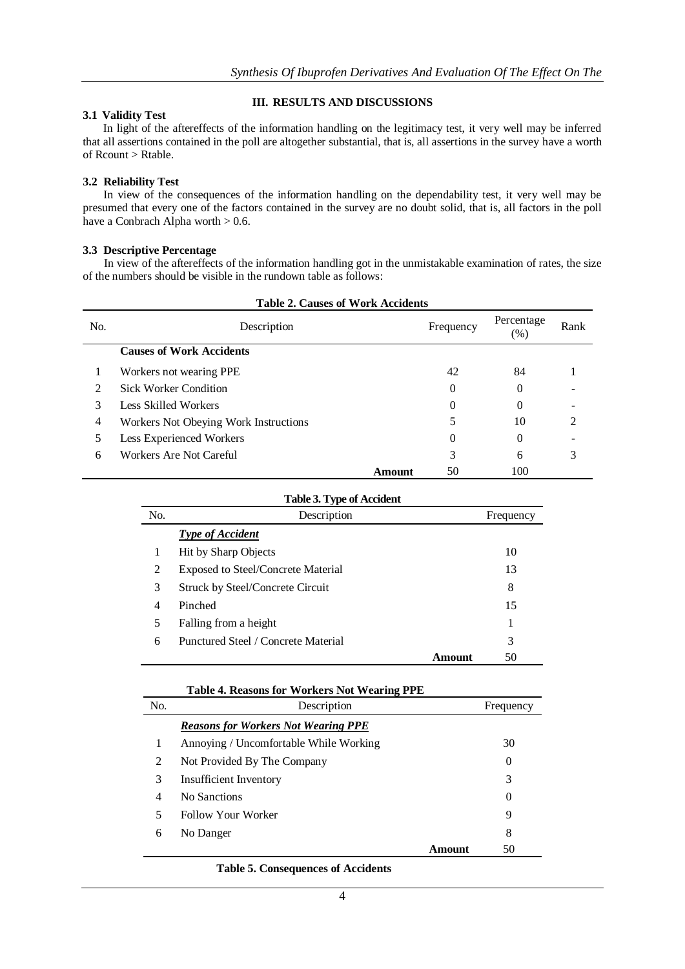# **III. RESULTS AND DISCUSSIONS**

#### **3.1 Validity Test**

In light of the aftereffects of the information handling on the legitimacy test, it very well may be inferred that all assertions contained in the poll are altogether substantial, that is, all assertions in the survey have a worth of Rcount > Rtable.

## **3.2 Reliability Test**

In view of the consequences of the information handling on the dependability test, it very well may be presumed that every one of the factors contained in the survey are no doubt solid, that is, all factors in the poll have a Conbrach Alpha worth  $> 0.6$ .

## **3.3 Descriptive Percentage**

In view of the aftereffects of the information handling got in the unmistakable examination of rates, the size of the numbers should be visible in the rundown table as follows:

**Table 2. Causes of Work Accidents**

| No.           | Description                           | Frequency    | Percentage<br>(%) | Rank                  |  |  |
|---------------|---------------------------------------|--------------|-------------------|-----------------------|--|--|
|               | <b>Causes of Work Accidents</b>       |              |                   |                       |  |  |
|               | Workers not wearing PPE               | 42           | 84                |                       |  |  |
| $\mathcal{L}$ | <b>Sick Worker Condition</b>          | 0            | $\Omega$          |                       |  |  |
| 3             | <b>Less Skilled Workers</b>           | 0            | $\Omega$          |                       |  |  |
| 4             | Workers Not Obeying Work Instructions | 5            | 10                | $\mathcal{D}_{\cdot}$ |  |  |
| 5             | Less Experienced Workers              | 0            | $\Omega$          |                       |  |  |
| 6             | Workers Are Not Careful               | 3            | 6                 | 3                     |  |  |
|               |                                       | 50<br>Amount | 100               |                       |  |  |

| Table 3. Type of Accident |                                           |           |  |
|---------------------------|-------------------------------------------|-----------|--|
| No.                       | Description                               | Frequency |  |
|                           | Type of Accident                          |           |  |
|                           | Hit by Sharp Objects                      | 10        |  |
| $\mathfrak{D}$            | <b>Exposed to Steel/Concrete Material</b> | 13        |  |
| 3                         | Struck by Steel/Concrete Circuit          | 8         |  |
| 4                         | Pinched                                   | 15        |  |
| 5                         | Falling from a height                     | 1         |  |
| 6                         | Punctured Steel / Concrete Material       | 3         |  |
|                           | Amount                                    | 50        |  |

## **Table 4. Reasons for Workers Not Wearing PPE**

| No. | Description                                | Frequency    |
|-----|--------------------------------------------|--------------|
|     | <b>Reasons for Workers Not Wearing PPE</b> |              |
|     | Annoying / Uncomfortable While Working     | 30           |
| 2   | Not Provided By The Company                | 0            |
| 3   | Insufficient Inventory                     | 3            |
| 4   | No Sanctions                               | 0            |
| 5   | Follow Your Worker                         | 9            |
| 6   | No Danger                                  | 8            |
|     |                                            | 50<br>Amount |

**Table 5. Consequences of Accidents**